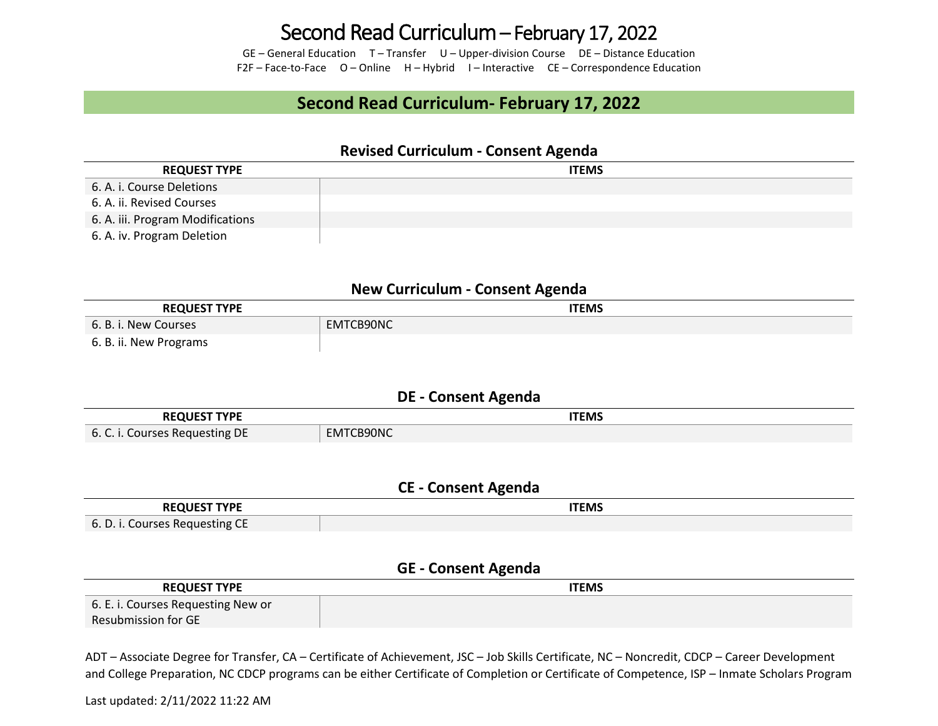## Second Read Curriculum – February 17, 2022

GE – General Education T – Transfer U – Upper-division Course DE – Distance Education F2F – Face-to-Face O – Online H – Hybrid I – Interactive CE – Correspondence Education

### **Second Read Curriculum- February 17, 2022**

#### **Revised Curriculum - Consent Agenda**

| <b>REQUEST TYPE</b>              | <b>ITEMS</b> |
|----------------------------------|--------------|
| 6. A. i. Course Deletions        |              |
| 6. A. ii. Revised Courses        |              |
| 6. A. iii. Program Modifications |              |
| 6. A. iv. Program Deletion       |              |

#### **New Curriculum - Consent Agenda**

| <b>REQUEST TYPE</b>    | <b>ITEMS</b> |
|------------------------|--------------|
| 6. B. i. New Courses   | EMTCB90NC    |
| 6. B. ii. New Programs |              |

#### **DE - Consent Agenda**

| <b>UEST TYPE</b>                     | <b>ITEMS</b>     |
|--------------------------------------|------------------|
|                                      |                  |
| Courses Requesting DE<br>6c<br>v. c. | 1TCB90NC<br>cMIC |

#### **CE - Consent Agenda**

| --- ----<br>ΩГ<br>the contract of the contract of the contract of the contract of the contract of | <b>ITEMS</b> |
|---------------------------------------------------------------------------------------------------|--------------|
| $\rightarrow$ 6. D. i. Courses Requesting C<br>ີ                                                  |              |

#### **GE - Consent Agenda**

| <b>REQUEST TYPE</b>                | <b>ITEMS</b> |
|------------------------------------|--------------|
| 6. E. i. Courses Requesting New or |              |
| Resubmission for GE                |              |

ADT – Associate Degree for Transfer, CA – Certificate of Achievement, JSC – Job Skills Certificate, NC – Noncredit, CDCP – Career Development and College Preparation, NC CDCP programs can be either Certificate of Completion or Certificate of Competence, ISP – Inmate Scholars Program

Last updated: 2/11/2022 11:22 AM